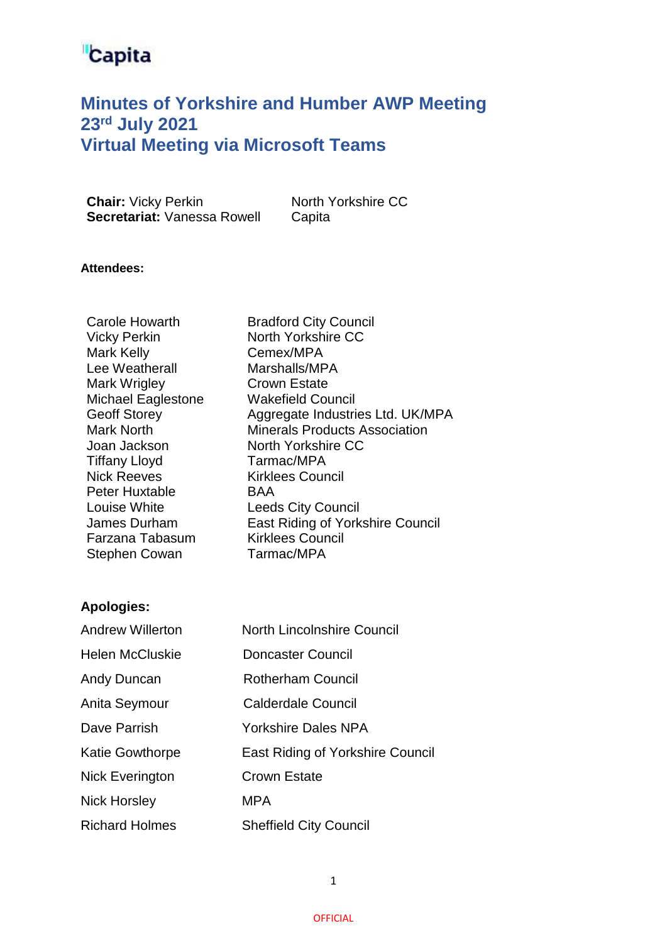### **Minutes of Yorkshire and Humber AWP Meeting 23 rd July 2021 Virtual Meeting via Microsoft Teams**

**Chair:** Vicky Perkin North Yorkshire CC **Secretariat: Vanessa Rowell Capita** 

#### **Attendees:**

Bradford City Council North Yorkshire CC Cemex/MPA Marshalls/MPA Crown Estate Wakefield Council Aggregate Industries Ltd. UK/MPA Minerals Products Association North Yorkshire CC Tarmac/MPA Kirklees Council BAA Leeds City Council East Riding of Yorkshire Council Kirklees Council Tarmac/MPA

#### **Apologies:**

| <b>Andrew Willerton</b> | North Lincolnshire Council       |
|-------------------------|----------------------------------|
| <b>Helen McCluskie</b>  | Doncaster Council                |
| Andy Duncan             | <b>Rotherham Council</b>         |
| Anita Seymour           | <b>Calderdale Council</b>        |
| Dave Parrish            | Yorkshire Dales NPA              |
| <b>Katie Gowthorpe</b>  | East Riding of Yorkshire Council |
| <b>Nick Everington</b>  | <b>Crown Estate</b>              |
| <b>Nick Horsley</b>     | <b>MPA</b>                       |
| <b>Richard Holmes</b>   | <b>Sheffield City Council</b>    |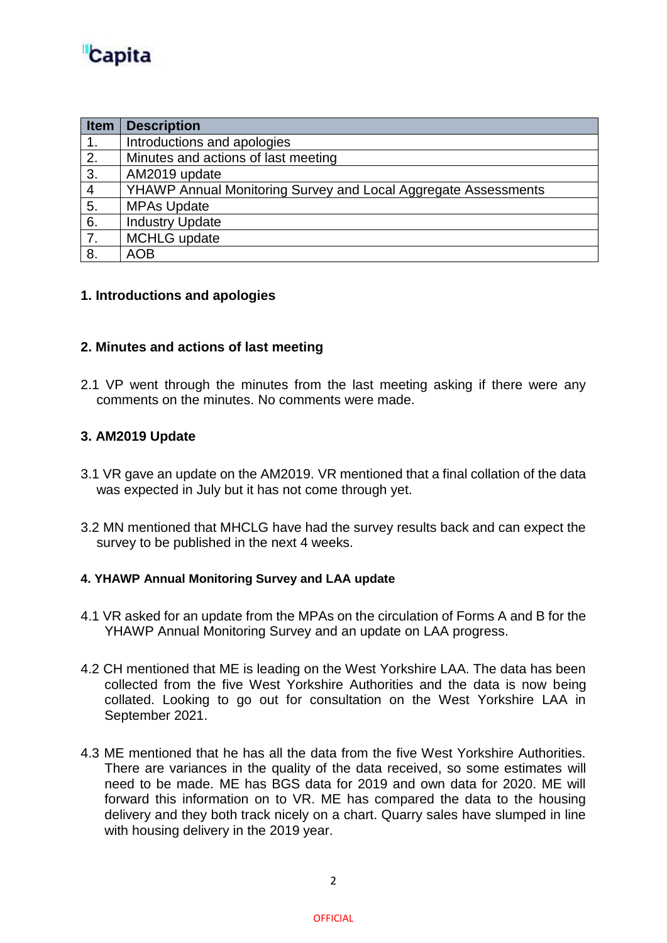| Item | <b>Description</b>                                                    |
|------|-----------------------------------------------------------------------|
| 1.   | Introductions and apologies                                           |
| 2.   | Minutes and actions of last meeting                                   |
| 3.   | AM2019 update                                                         |
| 4    | <b>YHAWP Annual Monitoring Survey and Local Aggregate Assessments</b> |
| 5.   | <b>MPAs Update</b>                                                    |
| 6.   | <b>Industry Update</b>                                                |
| 7.   | <b>MCHLG</b> update                                                   |
| 8.   | <b>AOB</b>                                                            |

#### **1. Introductions and apologies**

#### **2. Minutes and actions of last meeting**

2.1 VP went through the minutes from the last meeting asking if there were any comments on the minutes. No comments were made.

#### **3. AM2019 Update**

- 3.1 VR gave an update on the AM2019. VR mentioned that a final collation of the data was expected in July but it has not come through yet.
- 3.2 MN mentioned that MHCLG have had the survey results back and can expect the survey to be published in the next 4 weeks.

#### **4. YHAWP Annual Monitoring Survey and LAA update**

- 4.1 VR asked for an update from the MPAs on the circulation of Forms A and B for the YHAWP Annual Monitoring Survey and an update on LAA progress.
- 4.2 CH mentioned that ME is leading on the West Yorkshire LAA. The data has been collected from the five West Yorkshire Authorities and the data is now being collated. Looking to go out for consultation on the West Yorkshire LAA in September 2021.
- 4.3 ME mentioned that he has all the data from the five West Yorkshire Authorities. There are variances in the quality of the data received, so some estimates will need to be made. ME has BGS data for 2019 and own data for 2020. ME will forward this information on to VR. ME has compared the data to the housing delivery and they both track nicely on a chart. Quarry sales have slumped in line with housing delivery in the 2019 year.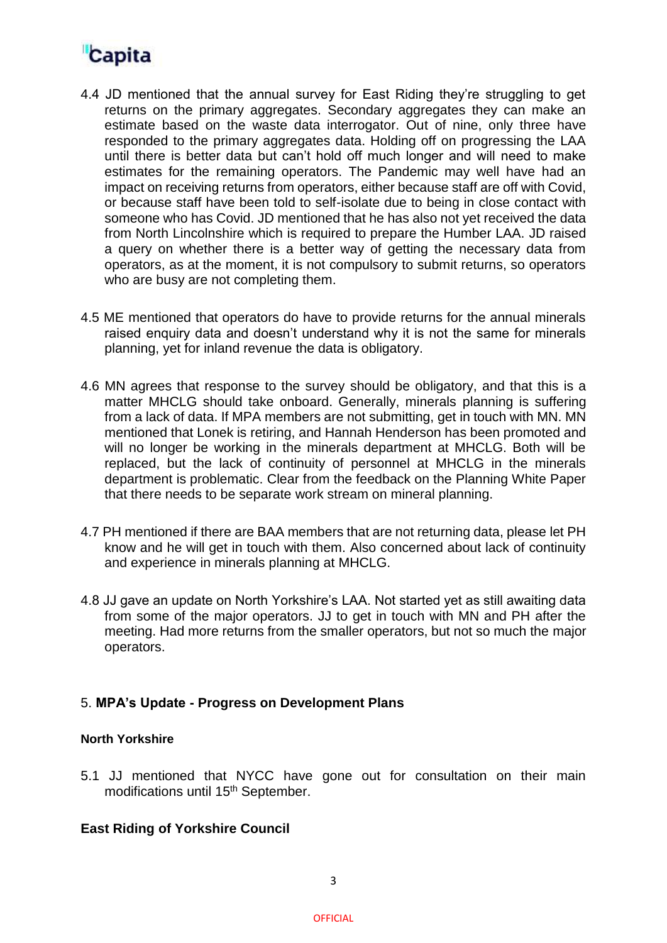- 4.4 JD mentioned that the annual survey for East Riding they're struggling to get returns on the primary aggregates. Secondary aggregates they can make an estimate based on the waste data interrogator. Out of nine, only three have responded to the primary aggregates data. Holding off on progressing the LAA until there is better data but can't hold off much longer and will need to make estimates for the remaining operators. The Pandemic may well have had an impact on receiving returns from operators, either because staff are off with Covid, or because staff have been told to self-isolate due to being in close contact with someone who has Covid. JD mentioned that he has also not yet received the data from North Lincolnshire which is required to prepare the Humber LAA. JD raised a query on whether there is a better way of getting the necessary data from operators, as at the moment, it is not compulsory to submit returns, so operators who are busy are not completing them.
- 4.5 ME mentioned that operators do have to provide returns for the annual minerals raised enquiry data and doesn't understand why it is not the same for minerals planning, yet for inland revenue the data is obligatory.
- 4.6 MN agrees that response to the survey should be obligatory, and that this is a matter MHCLG should take onboard. Generally, minerals planning is suffering from a lack of data. If MPA members are not submitting, get in touch with MN. MN mentioned that Lonek is retiring, and Hannah Henderson has been promoted and will no longer be working in the minerals department at MHCLG. Both will be replaced, but the lack of continuity of personnel at MHCLG in the minerals department is problematic. Clear from the feedback on the Planning White Paper that there needs to be separate work stream on mineral planning.
- 4.7 PH mentioned if there are BAA members that are not returning data, please let PH know and he will get in touch with them. Also concerned about lack of continuity and experience in minerals planning at MHCLG.
- 4.8 JJ gave an update on North Yorkshire's LAA. Not started yet as still awaiting data from some of the major operators. JJ to get in touch with MN and PH after the meeting. Had more returns from the smaller operators, but not so much the major operators.

#### 5. **MPA's Update - Progress on Development Plans**

#### **North Yorkshire**

5.1 JJ mentioned that NYCC have gone out for consultation on their main modifications until 15th September.

#### **East Riding of Yorkshire Council**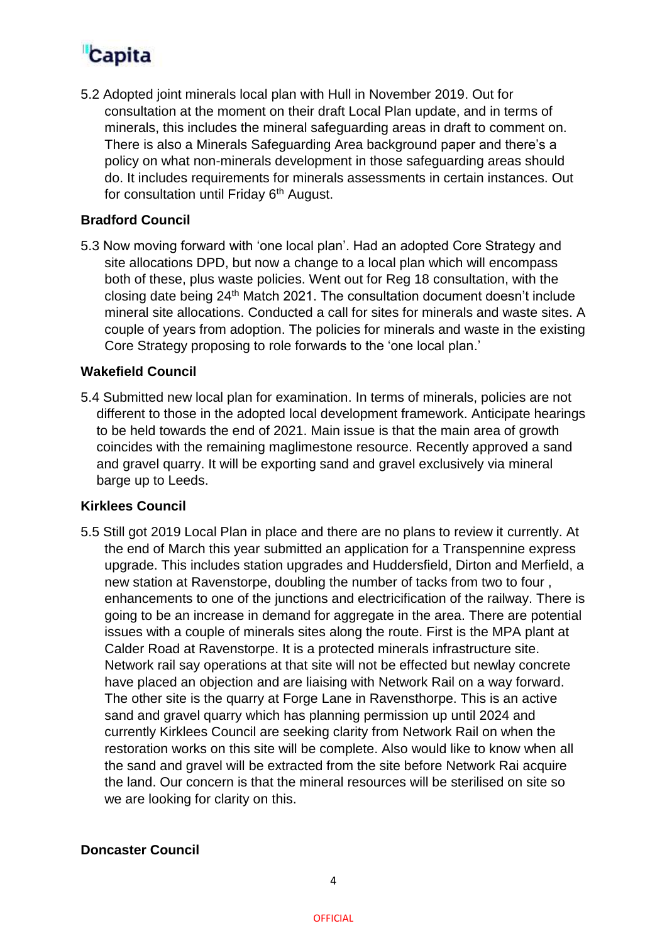5.2 Adopted joint minerals local plan with Hull in November 2019. Out for consultation at the moment on their draft Local Plan update, and in terms of minerals, this includes the mineral safeguarding areas in draft to comment on. There is also a Minerals Safeguarding Area background paper and there's a policy on what non-minerals development in those safeguarding areas should do. It includes requirements for minerals assessments in certain instances. Out for consultation until Friday 6<sup>th</sup> August.

#### **Bradford Council**

5.3 Now moving forward with 'one local plan'. Had an adopted Core Strategy and site allocations DPD, but now a change to a local plan which will encompass both of these, plus waste policies. Went out for Reg 18 consultation, with the closing date being 24th Match 2021. The consultation document doesn't include mineral site allocations. Conducted a call for sites for minerals and waste sites. A couple of years from adoption. The policies for minerals and waste in the existing Core Strategy proposing to role forwards to the 'one local plan.'

#### **Wakefield Council**

5.4 Submitted new local plan for examination. In terms of minerals, policies are not different to those in the adopted local development framework. Anticipate hearings to be held towards the end of 2021. Main issue is that the main area of growth coincides with the remaining maglimestone resource. Recently approved a sand and gravel quarry. It will be exporting sand and gravel exclusively via mineral barge up to Leeds.

#### **Kirklees Council**

5.5 Still got 2019 Local Plan in place and there are no plans to review it currently. At the end of March this year submitted an application for a Transpennine express upgrade. This includes station upgrades and Huddersfield, Dirton and Merfield, a new station at Ravenstorpe, doubling the number of tacks from two to four , enhancements to one of the junctions and electricification of the railway. There is going to be an increase in demand for aggregate in the area. There are potential issues with a couple of minerals sites along the route. First is the MPA plant at Calder Road at Ravenstorpe. It is a protected minerals infrastructure site. Network rail say operations at that site will not be effected but newlay concrete have placed an objection and are liaising with Network Rail on a way forward. The other site is the quarry at Forge Lane in Ravensthorpe. This is an active sand and gravel quarry which has planning permission up until 2024 and currently Kirklees Council are seeking clarity from Network Rail on when the restoration works on this site will be complete. Also would like to know when all the sand and gravel will be extracted from the site before Network Rai acquire the land. Our concern is that the mineral resources will be sterilised on site so we are looking for clarity on this.

#### **Doncaster Council**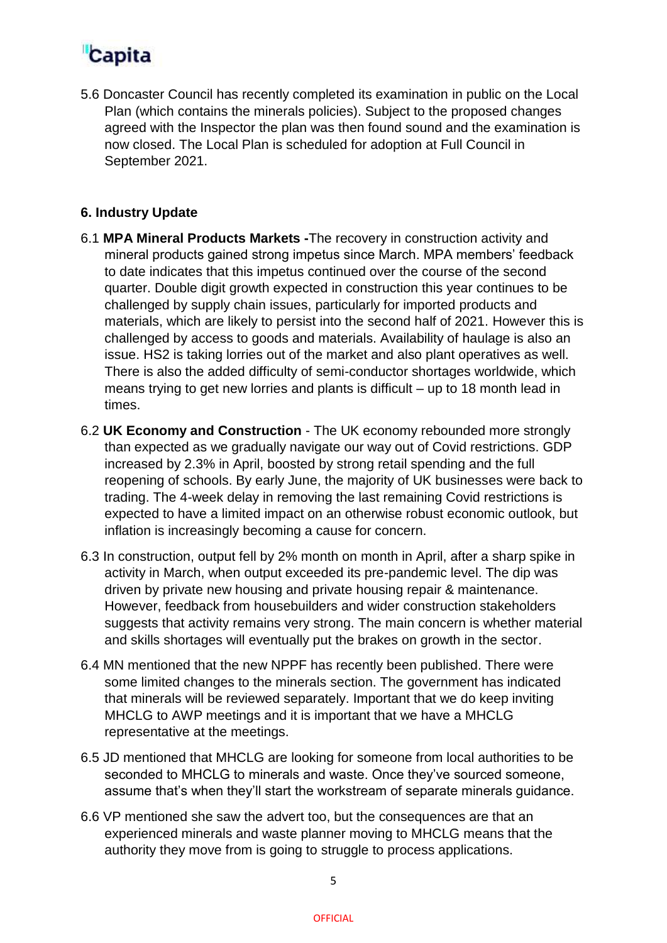5.6 Doncaster Council has recently completed its examination in public on the Local Plan (which contains the minerals policies). Subject to the proposed changes agreed with the Inspector the plan was then found sound and the examination is now closed. The Local Plan is scheduled for adoption at Full Council in September 2021.

#### **6. Industry Update**

- 6.1 **MPA Mineral Products Markets -**The recovery in construction activity and mineral products gained strong impetus since March. MPA members' feedback to date indicates that this impetus continued over the course of the second quarter. Double digit growth expected in construction this year continues to be challenged by supply chain issues, particularly for imported products and materials, which are likely to persist into the second half of 2021. However this is challenged by access to goods and materials. Availability of haulage is also an issue. HS2 is taking lorries out of the market and also plant operatives as well. There is also the added difficulty of semi-conductor shortages worldwide, which means trying to get new lorries and plants is difficult – up to 18 month lead in times.
- 6.2 **UK Economy and Construction** The UK economy rebounded more strongly than expected as we gradually navigate our way out of Covid restrictions. GDP increased by 2.3% in April, boosted by strong retail spending and the full reopening of schools. By early June, the majority of UK businesses were back to trading. The 4-week delay in removing the last remaining Covid restrictions is expected to have a limited impact on an otherwise robust economic outlook, but inflation is increasingly becoming a cause for concern.
- 6.3 In construction, output fell by 2% month on month in April, after a sharp spike in activity in March, when output exceeded its pre-pandemic level. The dip was driven by private new housing and private housing repair & maintenance. However, feedback from housebuilders and wider construction stakeholders suggests that activity remains very strong. The main concern is whether material and skills shortages will eventually put the brakes on growth in the sector.
- 6.4 MN mentioned that the new NPPF has recently been published. There were some limited changes to the minerals section. The government has indicated that minerals will be reviewed separately. Important that we do keep inviting MHCLG to AWP meetings and it is important that we have a MHCLG representative at the meetings.
- 6.5 JD mentioned that MHCLG are looking for someone from local authorities to be seconded to MHCLG to minerals and waste. Once they've sourced someone, assume that's when they'll start the workstream of separate minerals guidance.
- 6.6 VP mentioned she saw the advert too, but the consequences are that an experienced minerals and waste planner moving to MHCLG means that the authority they move from is going to struggle to process applications.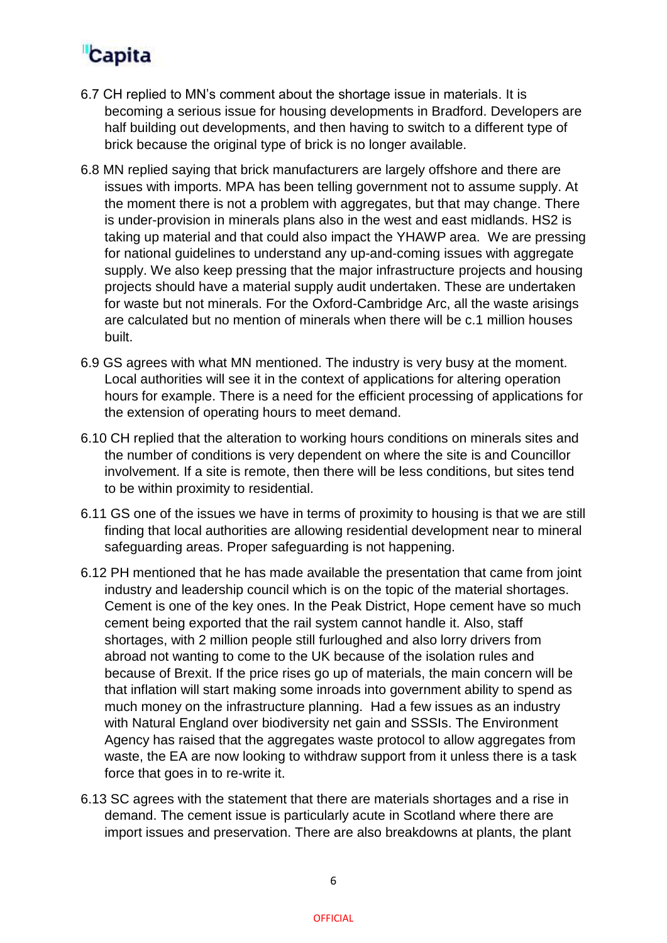- 6.7 CH replied to MN's comment about the shortage issue in materials. It is becoming a serious issue for housing developments in Bradford. Developers are half building out developments, and then having to switch to a different type of brick because the original type of brick is no longer available.
- 6.8 MN replied saying that brick manufacturers are largely offshore and there are issues with imports. MPA has been telling government not to assume supply. At the moment there is not a problem with aggregates, but that may change. There is under-provision in minerals plans also in the west and east midlands. HS2 is taking up material and that could also impact the YHAWP area. We are pressing for national guidelines to understand any up-and-coming issues with aggregate supply. We also keep pressing that the major infrastructure projects and housing projects should have a material supply audit undertaken. These are undertaken for waste but not minerals. For the Oxford-Cambridge Arc, all the waste arisings are calculated but no mention of minerals when there will be c.1 million houses built.
- 6.9 GS agrees with what MN mentioned. The industry is very busy at the moment. Local authorities will see it in the context of applications for altering operation hours for example. There is a need for the efficient processing of applications for the extension of operating hours to meet demand.
- 6.10 CH replied that the alteration to working hours conditions on minerals sites and the number of conditions is very dependent on where the site is and Councillor involvement. If a site is remote, then there will be less conditions, but sites tend to be within proximity to residential.
- 6.11 GS one of the issues we have in terms of proximity to housing is that we are still finding that local authorities are allowing residential development near to mineral safeguarding areas. Proper safeguarding is not happening.
- 6.12 PH mentioned that he has made available the presentation that came from joint industry and leadership council which is on the topic of the material shortages. Cement is one of the key ones. In the Peak District, Hope cement have so much cement being exported that the rail system cannot handle it. Also, staff shortages, with 2 million people still furloughed and also lorry drivers from abroad not wanting to come to the UK because of the isolation rules and because of Brexit. If the price rises go up of materials, the main concern will be that inflation will start making some inroads into government ability to spend as much money on the infrastructure planning. Had a few issues as an industry with Natural England over biodiversity net gain and SSSIs. The Environment Agency has raised that the aggregates waste protocol to allow aggregates from waste, the EA are now looking to withdraw support from it unless there is a task force that goes in to re-write it.
- 6.13 SC agrees with the statement that there are materials shortages and a rise in demand. The cement issue is particularly acute in Scotland where there are import issues and preservation. There are also breakdowns at plants, the plant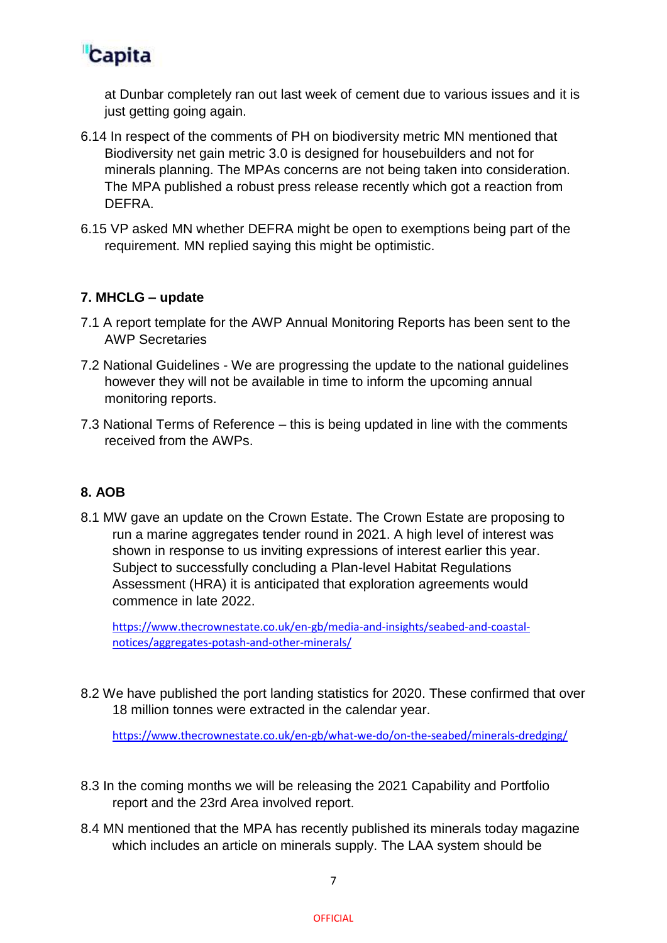

at Dunbar completely ran out last week of cement due to various issues and it is just getting going again.

- 6.14 In respect of the comments of PH on biodiversity metric MN mentioned that Biodiversity net gain metric 3.0 is designed for housebuilders and not for minerals planning. The MPAs concerns are not being taken into consideration. The MPA published a robust press release recently which got a reaction from DEFRA.
- 6.15 VP asked MN whether DEFRA might be open to exemptions being part of the requirement. MN replied saying this might be optimistic.

#### **7. MHCLG – update**

- 7.1 A report template for the AWP Annual Monitoring Reports has been sent to the AWP Secretaries
- 7.2 National Guidelines We are progressing the update to the national guidelines however they will not be available in time to inform the upcoming annual monitoring reports.
- 7.3 National Terms of Reference this is being updated in line with the comments received from the AWPs.

#### **8. AOB**

8.1 MW gave an update on the Crown Estate. The Crown Estate are proposing to run a marine aggregates tender round in 2021. A high level of interest was shown in response to us inviting expressions of interest earlier this year. Subject to successfully concluding a Plan-level Habitat Regulations Assessment (HRA) it is anticipated that exploration agreements would commence in late 2022.

[https://www.thecrownestate.co.uk/en-gb/media-and-insights/seabed-and-coastal](https://www.thecrownestate.co.uk/en-gb/media-and-insights/seabed-and-coastal-notices/aggregates-potash-and-other-minerals/)[notices/aggregates-potash-and-other-minerals/](https://www.thecrownestate.co.uk/en-gb/media-and-insights/seabed-and-coastal-notices/aggregates-potash-and-other-minerals/)

8.2 We have published the port landing statistics for 2020. These confirmed that over 18 million tonnes were extracted in the calendar year.

<https://www.thecrownestate.co.uk/en-gb/what-we-do/on-the-seabed/minerals-dredging/>

- 8.3 In the coming months we will be releasing the 2021 Capability and Portfolio report and the 23rd Area involved report.
- 8.4 MN mentioned that the MPA has recently published its minerals today magazine which includes an article on minerals supply. The LAA system should be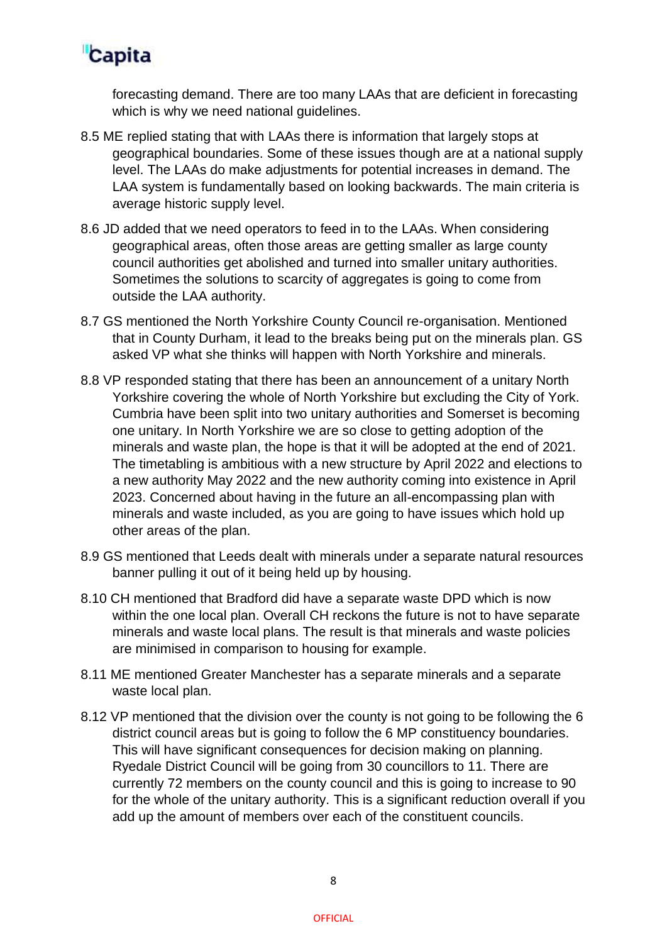

forecasting demand. There are too many LAAs that are deficient in forecasting which is why we need national quidelines.

- 8.5 ME replied stating that with LAAs there is information that largely stops at geographical boundaries. Some of these issues though are at a national supply level. The LAAs do make adjustments for potential increases in demand. The LAA system is fundamentally based on looking backwards. The main criteria is average historic supply level.
- 8.6 JD added that we need operators to feed in to the LAAs. When considering geographical areas, often those areas are getting smaller as large county council authorities get abolished and turned into smaller unitary authorities. Sometimes the solutions to scarcity of aggregates is going to come from outside the LAA authority.
- 8.7 GS mentioned the North Yorkshire County Council re-organisation. Mentioned that in County Durham, it lead to the breaks being put on the minerals plan. GS asked VP what she thinks will happen with North Yorkshire and minerals.
- 8.8 VP responded stating that there has been an announcement of a unitary North Yorkshire covering the whole of North Yorkshire but excluding the City of York. Cumbria have been split into two unitary authorities and Somerset is becoming one unitary. In North Yorkshire we are so close to getting adoption of the minerals and waste plan, the hope is that it will be adopted at the end of 2021. The timetabling is ambitious with a new structure by April 2022 and elections to a new authority May 2022 and the new authority coming into existence in April 2023. Concerned about having in the future an all-encompassing plan with minerals and waste included, as you are going to have issues which hold up other areas of the plan.
- 8.9 GS mentioned that Leeds dealt with minerals under a separate natural resources banner pulling it out of it being held up by housing.
- 8.10 CH mentioned that Bradford did have a separate waste DPD which is now within the one local plan. Overall CH reckons the future is not to have separate minerals and waste local plans. The result is that minerals and waste policies are minimised in comparison to housing for example.
- 8.11 ME mentioned Greater Manchester has a separate minerals and a separate waste local plan.
- 8.12 VP mentioned that the division over the county is not going to be following the 6 district council areas but is going to follow the 6 MP constituency boundaries. This will have significant consequences for decision making on planning. Ryedale District Council will be going from 30 councillors to 11. There are currently 72 members on the county council and this is going to increase to 90 for the whole of the unitary authority. This is a significant reduction overall if you add up the amount of members over each of the constituent councils.